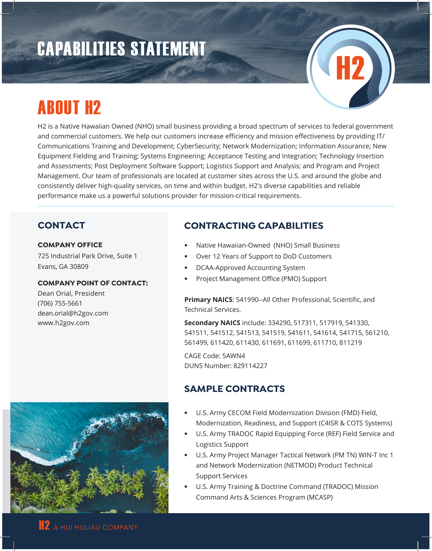# CAPABILITIES STATEMENT

# ABOUT H2

H2 is a Native Hawaiian Owned (NHO) small business providing a broad spectrum of services to federal government and commercial customers. We help our customers increase efficiency and mission effectiveness by providing IT/ Communications Training and Development; CyberSecurity; Network Modernization; Information Assurance; New Equipment Fielding and Training; Systems Engineering; Acceptance Testing and Integration; Technology Insertion and Assessments; Post Deployment Software Support; Logistics Support and Analysis; and Program and Project Management. Our team of professionals are located at customer sites across the U.S. and around the globe and consistently deliver high-quality services, on time and within budget. H2's diverse capabilities and reliable performance make us a powerful solutions provider for mission-critical requirements.

## **CONTACT**

#### **COMPANY OFFICE**

725 Industrial Park Drive, Suite 1 Evans, GA 30809

#### **COMPANY POINT OF CONTACT:**

Dean Orial, President (706) 755-5661 dean.orial@h2gov.com www.h2gov.com

# **CONTRACTING CAPABILITIES**

- Native Hawaiian-Owned (NHO) Small Business
- Over 12 Years of Support to DoD Customers
- DCAA-Approved Accounting System
- Project Management Office (PMO) Support

**Primary NAICS**: 541990--All Other Professional, Scientific, and Technical Services.

**Secondary NAICS** include: 334290, 517311, 517919, 541330, 541511, 541512, 541513, 541519, 541611, 541614, 541715, 561210, 561499, 611420, 611430, 611691, 611699, 611710, 811219

CAGE Code: 5AWN4 DUNS Number: 829114227

# **SAMPLE CONTRACTS**

- U.S. Army CECOM Field Modernization Division (FMD) Field, Modernization, Readiness, and Support (C4ISR & COTS Systems)
- U.S. Army TRADOC Rapid Equipping Force (REF) Field Service and Logistics Support
- U.S. Army Project Manager Tactical Network (PM TN) WIN-T Inc 1 and Network Modernization (NETMOD) Product Technical Support Services
- U.S. Army Training & Doctrine Command (TRADOC) Mission Command Arts & Sciences Program (MCASP)